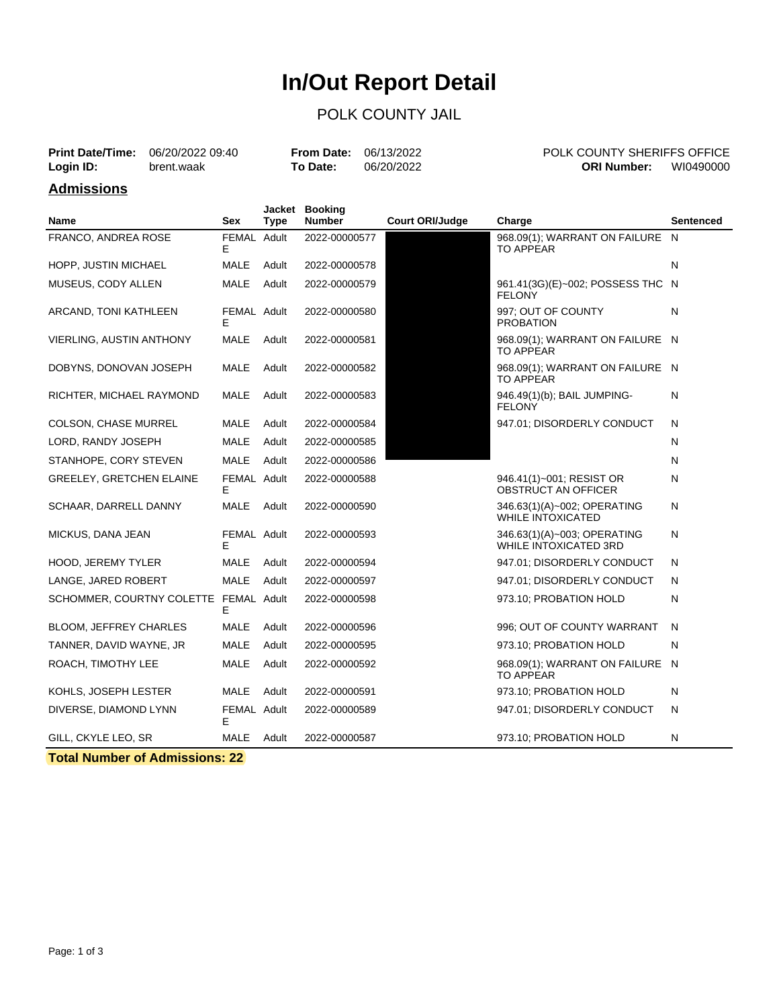# **In/Out Report Detail**

#### POLK COUNTY JAIL

|           | <b>Print Date/Time:</b> 06/20/2022 09:40 | <b>From Date: 06/13/2022</b> |            | POLK COUNTY SHERIFFS OFFICE     |
|-----------|------------------------------------------|------------------------------|------------|---------------------------------|
| Login ID: | brent.waak                               | To Date:                     | 06/20/2022 | WI0490000<br><b>ORI Number:</b> |
|           |                                          |                              |            |                                 |

#### **Admissions**

| Name                                  | <b>Sex</b>       | Jacket<br><b>Type</b> | <b>Booking</b><br><b>Number</b> | <b>Court ORI/Judge</b> | Charge                                                      | <b>Sentenced</b> |
|---------------------------------------|------------------|-----------------------|---------------------------------|------------------------|-------------------------------------------------------------|------------------|
| FRANCO, ANDREA ROSE                   | FEMAL Adult<br>Е |                       | 2022-00000577                   |                        | 968.09(1); WARRANT ON FAILURE N<br>TO APPEAR                |                  |
| HOPP, JUSTIN MICHAEL                  | <b>MALE</b>      | Adult                 | 2022-00000578                   |                        |                                                             | N                |
| MUSEUS, CODY ALLEN                    | <b>MALE</b>      | Adult                 | 2022-00000579                   |                        | 961.41(3G)(E)~002; POSSESS THC N<br><b>FELONY</b>           |                  |
| ARCAND, TONI KATHLEEN                 | FEMAL Adult<br>E |                       | 2022-00000580                   |                        | 997; OUT OF COUNTY<br><b>PROBATION</b>                      | N                |
| <b>VIERLING, AUSTIN ANTHONY</b>       | <b>MALE</b>      | Adult                 | 2022-00000581                   |                        | 968.09(1); WARRANT ON FAILURE N<br>TO APPEAR                |                  |
| DOBYNS, DONOVAN JOSEPH                | <b>MALE</b>      | Adult                 | 2022-00000582                   |                        | 968.09(1); WARRANT ON FAILURE N<br>TO APPEAR                |                  |
| RICHTER, MICHAEL RAYMOND              | <b>MALE</b>      | Adult                 | 2022-00000583                   |                        | 946.49(1)(b); BAIL JUMPING-<br><b>FELONY</b>                | N                |
| <b>COLSON, CHASE MURREL</b>           | MALE             | Adult                 | 2022-00000584                   |                        | 947.01; DISORDERLY CONDUCT                                  | N                |
| LORD, RANDY JOSEPH                    | <b>MALE</b>      | Adult                 | 2022-00000585                   |                        |                                                             | N                |
| STANHOPE, CORY STEVEN                 | <b>MALE</b>      | Adult                 | 2022-00000586                   |                        |                                                             | N                |
| <b>GREELEY, GRETCHEN ELAINE</b>       | FEMAL Adult<br>E |                       | 2022-00000588                   |                        | 946.41(1)~001; RESIST OR<br>OBSTRUCT AN OFFICER             | N                |
| SCHAAR, DARRELL DANNY                 | <b>MALE</b>      | Adult                 | 2022-00000590                   |                        | 346.63(1)(A)~002; OPERATING<br><b>WHILE INTOXICATED</b>     | N                |
| MICKUS, DANA JEAN                     | FEMAL Adult<br>Е |                       | 2022-00000593                   |                        | 346.63(1)(A)~003; OPERATING<br><b>WHILE INTOXICATED 3RD</b> | N                |
| <b>HOOD, JEREMY TYLER</b>             | <b>MALE</b>      | Adult                 | 2022-00000594                   |                        | 947.01; DISORDERLY CONDUCT                                  | N                |
| LANGE, JARED ROBERT                   | <b>MALE</b>      | Adult                 | 2022-00000597                   |                        | 947.01; DISORDERLY CONDUCT                                  | N                |
| SCHOMMER, COURTNY COLETTE FEMAL Adult | E                |                       | 2022-00000598                   |                        | 973.10; PROBATION HOLD                                      | N                |
| <b>BLOOM, JEFFREY CHARLES</b>         | <b>MALE</b>      | Adult                 | 2022-00000596                   |                        | 996; OUT OF COUNTY WARRANT                                  | N                |
| TANNER, DAVID WAYNE, JR               | <b>MALE</b>      | Adult                 | 2022-00000595                   |                        | 973.10; PROBATION HOLD                                      | N                |
| ROACH, TIMOTHY LEE                    | <b>MALE</b>      | Adult                 | 2022-00000592                   |                        | 968.09(1); WARRANT ON FAILURE<br><b>TO APPEAR</b>           | - N              |
| KOHLS, JOSEPH LESTER                  | MALE             | Adult                 | 2022-00000591                   |                        | 973.10; PROBATION HOLD                                      | N                |
| DIVERSE, DIAMOND LYNN                 | FEMAL Adult<br>F |                       | 2022-00000589                   |                        | 947.01; DISORDERLY CONDUCT                                  | N                |
| GILL, CKYLE LEO, SR                   | MALE Adult       |                       | 2022-00000587                   |                        | 973.10; PROBATION HOLD                                      | N                |

**Total Number of Admissions: 22**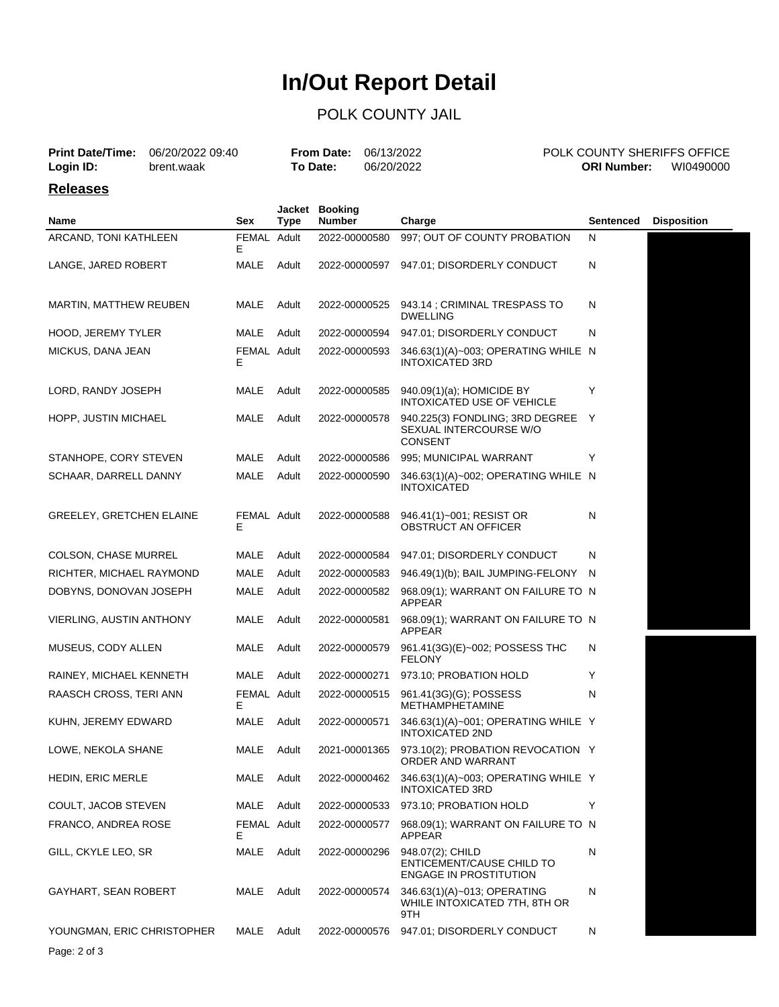# **In/Out Report Detail**

### POLK COUNTY JAIL

|                 | <b>Print Date/Time:</b> 06/20/2022 09:40 | <b>From Date: 06/13/2022</b> |            | POLK COUNTY SHERIFFS OFFICE |           |
|-----------------|------------------------------------------|------------------------------|------------|-----------------------------|-----------|
| Login ID:       | brent.waak                               | To Date:                     | 06/20/2022 | <b>ORI Number:</b>          | WI0490000 |
| <b>Releases</b> |                                          |                              |            |                             |           |

| Name                            | Sex               | <b>Type</b> | Jacket Booking<br><b>Number</b> | Charge                                                                         | Sentenced | <b>Disposition</b> |
|---------------------------------|-------------------|-------------|---------------------------------|--------------------------------------------------------------------------------|-----------|--------------------|
| ARCAND, TONI KATHLEEN           | FEMAL Adult<br>Е  |             | 2022-00000580                   | 997; OUT OF COUNTY PROBATION                                                   | N         |                    |
| LANGE, JARED ROBERT             | MALE              | Adult       | 2022-00000597                   | 947.01; DISORDERLY CONDUCT                                                     | N         |                    |
| <b>MARTIN, MATTHEW REUBEN</b>   | MALE              | Adult       | 2022-00000525                   | 943.14 ; CRIMINAL TRESPASS TO<br>DWELLING                                      | N         |                    |
| HOOD, JEREMY TYLER              | MALE              | Adult       | 2022-00000594                   | 947.01; DISORDERLY CONDUCT                                                     | N         |                    |
| MICKUS, DANA JEAN               | FEMAL Adult<br>Е  |             | 2022-00000593                   | 346.63(1)(A)~003; OPERATING WHILE N<br><b>INTOXICATED 3RD</b>                  |           |                    |
| LORD, RANDY JOSEPH              | MALE              | Adult       | 2022-00000585                   | 940.09(1)(a); HOMICIDE BY<br>INTOXICATED USE OF VEHICLE                        | Υ         |                    |
| HOPP, JUSTIN MICHAEL            | MALE              | Adult       | 2022-00000578                   | 940.225(3) FONDLING; 3RD DEGREE Y<br>SEXUAL INTERCOURSE W/O<br><b>CONSENT</b>  |           |                    |
| STANHOPE, CORY STEVEN           | MALE              | Adult       | 2022-00000586                   | 995; MUNICIPAL WARRANT                                                         | Y         |                    |
| SCHAAR, DARRELL DANNY           | MALE              | Adult       | 2022-00000590                   | 346.63(1)(A)~002; OPERATING WHILE N<br>INTOXICATED                             |           |                    |
| GREELEY, GRETCHEN ELAINE        | FEMAL Adult<br>Е  |             | 2022-00000588                   | 946.41(1)~001; RESIST OR<br><b>OBSTRUCT AN OFFICER</b>                         | N         |                    |
| <b>COLSON, CHASE MURREL</b>     | MALE              | Adult       | 2022-00000584                   | 947.01; DISORDERLY CONDUCT                                                     | N         |                    |
| RICHTER, MICHAEL RAYMOND        | MALE              | Adult       | 2022-00000583                   | 946.49(1)(b); BAIL JUMPING-FELONY                                              | N         |                    |
| DOBYNS, DONOVAN JOSEPH          | MALE              | Adult       | 2022-00000582                   | 968.09(1); WARRANT ON FAILURE TO N<br><b>APPEAR</b>                            |           |                    |
| <b>VIERLING, AUSTIN ANTHONY</b> | MALE              | Adult       | 2022-00000581                   | 968.09(1); WARRANT ON FAILURE TO N<br>APPEAR                                   |           |                    |
| MUSEUS, CODY ALLEN              | MALE              | Adult       | 2022-00000579                   | 961.41(3G)(E)~002; POSSESS THC<br><b>FELONY</b>                                | N         |                    |
| RAINEY, MICHAEL KENNETH         | MALE              | Adult       | 2022-00000271                   | 973.10; PROBATION HOLD                                                         | Y         |                    |
| RAASCH CROSS, TERI ANN          | FEMAL Adult<br>Е  |             | 2022-00000515                   | 961.41(3G)(G); POSSESS<br><b>METHAMPHETAMINE</b>                               | N         |                    |
| KUHN, JEREMY EDWARD             | MALE              | Adult       | 2022-00000571                   | 346.63(1)(A)~001; OPERATING WHILE Y<br>INTOXICATED 2ND                         |           |                    |
| LOWE, NEKOLA SHANE              | MALE              | Adult       | 2021-00001365                   | 973.10(2); PROBATION REVOCATION Y<br>ORDER AND WARRANT                         |           |                    |
| HEDIN, ERIC MERLE               |                   | MALE Adult  |                                 | 2022-00000462 346.63(1)(A)~003; OPERATING WHILE Y<br><b>INTOXICATED 3RD</b>    |           |                    |
| COULT, JACOB STEVEN             | MALE              | Adult       | 2022-00000533                   | 973.10; PROBATION HOLD                                                         | Y         |                    |
| FRANCO, ANDREA ROSE             | FEMAL Adult<br>E. |             | 2022-00000577                   | 968.09(1); WARRANT ON FAILURE TO N<br>APPEAR                                   |           |                    |
| GILL, CKYLE LEO, SR             | MALE              | Adult       | 2022-00000296                   | 948.07(2); CHILD<br>ENTICEMENT/CAUSE CHILD TO<br><b>ENGAGE IN PROSTITUTION</b> | N         |                    |
| GAYHART, SEAN ROBERT            | MALE              | Adult       | 2022-00000574                   | 346.63(1)(A)~013; OPERATING<br>WHILE INTOXICATED 7TH, 8TH OR<br>9TH            | N         |                    |
| YOUNGMAN, ERIC CHRISTOPHER      | MALE              | Adult       | 2022-00000576                   | 947.01; DISORDERLY CONDUCT                                                     | N         |                    |
| Page: 2 of 3                    |                   |             |                                 |                                                                                |           |                    |